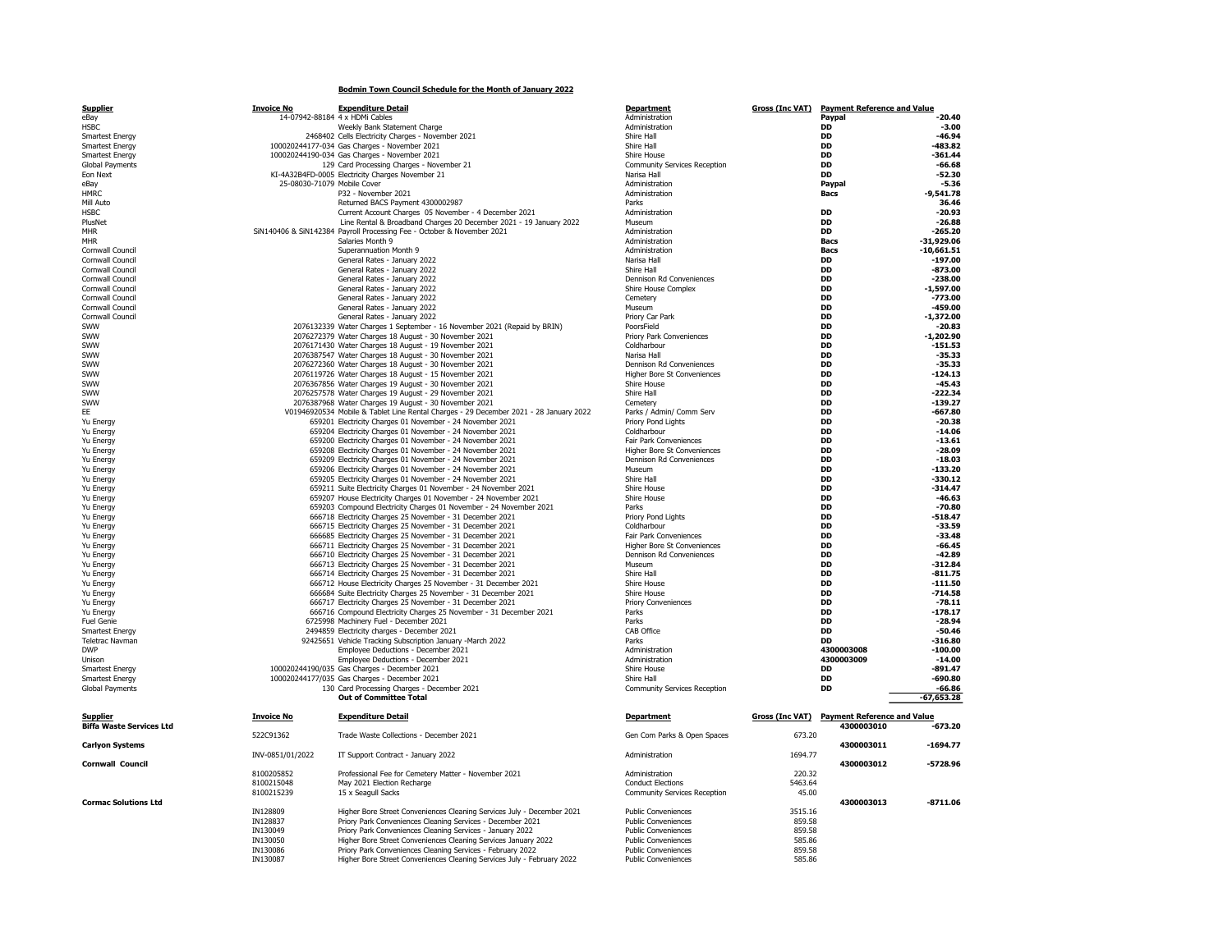## Bodmin Town Council Schedule for the Month of January 2022

| <b>Supplier</b>                                  | <b>Invoice No</b>           | <b>Expenditure Detail</b>                                                                                                          | <b>Department</b>                                        | <b>Gross (Inc VAT)</b> | <b>Payment Reference and Value</b>                        |                          |
|--------------------------------------------------|-----------------------------|------------------------------------------------------------------------------------------------------------------------------------|----------------------------------------------------------|------------------------|-----------------------------------------------------------|--------------------------|
| eBay<br><b>HSBC</b>                              |                             | 14-07942-88184 4 x HDMi Cables<br>Weekly Bank Statement Charge                                                                     | Administration<br>Administration                         |                        | Paypal<br><b>DD</b>                                       | $-20.40$<br>$-3.00$      |
| Smartest Energy                                  |                             | 2468402 Cells Electricity Charges - November 2021                                                                                  | Shire Hall                                               |                        | <b>DD</b>                                                 | $-46.94$                 |
| Smartest Energy                                  |                             | 100020244177-034 Gas Charges - November 2021                                                                                       | Shire Hall                                               |                        | DD                                                        | 483.82                   |
| Smartest Energy                                  |                             | 100020244190-034 Gas Charges - November 2021                                                                                       | Shire House                                              |                        | <b>DD</b>                                                 | $-361.44$                |
| <b>Global Payments</b>                           |                             | 129 Card Processing Charges - November 21                                                                                          | Community Services Reception                             |                        | DD                                                        | $-66.68$                 |
| Eon Next                                         |                             | KI-4A32B4FD-0005 Electricity Charges November 21                                                                                   | Narisa Hall                                              |                        | DD                                                        | $-52.30$                 |
| eBay                                             | 25-08030-71079 Mobile Cover |                                                                                                                                    | Administration                                           |                        | Paypal                                                    | $-5.36$                  |
| <b>HMRC</b>                                      |                             | P32 - November 2021                                                                                                                | Administration                                           |                        | Bacs                                                      | $-9.541.78$<br>36.46     |
| Mill Auto<br><b>HSBC</b>                         |                             | Returned BACS Payment 4300002987<br>Current Account Charges 05 November - 4 December 2021                                          | Parks<br>Administration                                  |                        | DD                                                        | $-20.93$                 |
| PlusNet                                          |                             | Line Rental & Broadband Charges 20 December 2021 - 19 January 2022                                                                 | Museum                                                   |                        | <b>DD</b>                                                 | $-26.88$                 |
| MHR                                              |                             | SiN140406 & SiN142384 Payroll Processing Fee - October & November 2021                                                             | Administration                                           |                        | DD                                                        | $-265.20$                |
| <b>MHR</b>                                       |                             | Salaries Month 9                                                                                                                   | Administration                                           |                        | <b>Bacs</b>                                               | $-31,929.06$             |
| Cornwall Council                                 |                             | Superannuation Month 9                                                                                                             | Administration                                           |                        | <b>Bacs</b>                                               | $-10,661.51$             |
| Cornwall Council                                 |                             | General Rates - January 2022                                                                                                       | Narisa Hall                                              |                        | <b>DD</b>                                                 | $-197.00$                |
| Cornwall Council                                 |                             | General Rates - January 2022<br>General Rates - January 2022                                                                       | Shire Hall                                               |                        | DD                                                        | $-873.00$                |
| Cornwall Council<br>Cornwall Council             |                             | General Rates - January 2022                                                                                                       | Dennison Rd Conveniences<br>Shire House Complex          |                        | DD<br><b>DD</b>                                           | $-238.00$<br>$-1.597.00$ |
| Cornwall Council                                 |                             | General Rates - January 2022                                                                                                       | Cemetery                                                 |                        | DD                                                        | $-773.00$                |
| Cornwall Council                                 |                             | General Rates - January 2022                                                                                                       | Museum                                                   |                        | <b>DD</b>                                                 | $-459.00$                |
| Cornwall Council                                 |                             | General Rates - January 2022                                                                                                       | Priory Car Park                                          |                        | DD                                                        | $-1,372.00$              |
| SWW                                              |                             | 2076132339 Water Charges 1 September - 16 November 2021 (Repaid by BRIN)                                                           | PoorsField                                               |                        | <b>DD</b>                                                 | $-20.83$                 |
| SWW                                              |                             | 2076272379 Water Charges 18 August - 30 November 2021                                                                              | Priory Park Conveniences                                 |                        | DD                                                        | $-1,202.90$              |
| SWW<br>SWW                                       |                             | 2076171430 Water Charges 18 August - 19 November 2021                                                                              | Coldharbour<br>Narisa Hall                               |                        | DD<br><b>DD</b>                                           | $-151.53$<br>$-35.33$    |
| SWW                                              |                             | 2076387547 Water Charges 18 August - 30 November 2021<br>2076272360 Water Charges 18 August - 30 November 2021                     | Dennison Rd Conveniences                                 |                        | <b>DD</b>                                                 | $-35.33$                 |
| SWW                                              |                             | 2076119726 Water Charges 18 August - 15 November 2021                                                                              | Higher Bore St Conveniences                              |                        | <b>DD</b>                                                 | $-124.13$                |
| SWW                                              |                             | 2076367856 Water Charges 19 August - 30 November 2021                                                                              | Shire House                                              |                        | <b>DD</b>                                                 | $-45.43$                 |
| SWW                                              |                             | 2076257578 Water Charges 19 August - 29 November 2021                                                                              | Shire Hall                                               |                        | <b>DD</b>                                                 | $-222.34$                |
| SWW                                              |                             | 2076387968 Water Charges 19 August - 30 November 2021                                                                              | Cemetery                                                 |                        | DD                                                        | -139.27                  |
| EE                                               |                             | V01946920534 Mobile & Tablet Line Rental Charges - 29 December 2021 - 28 January 2022                                              | Parks / Admin/ Comm Serv                                 |                        | DD                                                        | $-667.80$                |
| Yu Energy                                        |                             | 659201 Electricity Charges 01 November - 24 November 2021                                                                          | Priory Pond Lights                                       |                        | DD                                                        | $-20.38$                 |
| Yu Energy                                        |                             | 659204 Electricity Charges 01 November - 24 November 2021<br>659200 Electricity Charges 01 November - 24 November 2021             | Coldharbour<br>Fair Park Conveniences                    |                        | <b>DD</b><br>DD                                           | $-14.06$<br>$-13.61$     |
| Yu Energy<br>Yu Energy                           |                             | 659208 Electricity Charges 01 November - 24 November 2021                                                                          | Higher Bore St Conveniences                              |                        | DD                                                        | $-28.09$                 |
| Yu Energy                                        |                             | 659209 Electricity Charges 01 November - 24 November 2021                                                                          | Dennison Rd Conveniences                                 |                        | <b>DD</b>                                                 | $-18.03$                 |
| Yu Energy                                        |                             | 659206 Electricity Charges 01 November - 24 November 2021                                                                          | Museum                                                   |                        | DD                                                        | $-133.20$                |
| Yu Energy                                        |                             | 659205 Electricity Charges 01 November - 24 November 2021                                                                          | Shire Hall                                               |                        | <b>DD</b>                                                 | $-330.12$                |
| Yu Energy                                        |                             | 659211 Suite Electricity Charges 01 November - 24 November 2021                                                                    | Shire House                                              |                        | DD                                                        | $-314.47$                |
| Yu Energy                                        |                             | 659207 House Electricity Charges 01 November - 24 November 2021                                                                    | Shire House                                              |                        | <b>DD</b>                                                 | $-46.63$                 |
| Yu Energy                                        |                             | 659203 Compound Electricity Charges 01 November - 24 November 2021                                                                 | Parks                                                    |                        | DD                                                        | $-70.80$                 |
| Yu Energy<br>Yu Energy                           |                             | 666718 Electricity Charges 25 November - 31 December 2021<br>666715 Electricity Charges 25 November - 31 December 2021             | Priory Pond Lights<br>Coldharbour                        |                        | DD<br><b>DD</b>                                           | $-518.47$<br>$-33.59$    |
| Yu Energy                                        |                             | 666685 Electricity Charges 25 November - 31 December 2021                                                                          | Fair Park Conveniences                                   |                        | DD                                                        | $-33.48$                 |
| Yu Energy                                        |                             | 666711 Electricity Charges 25 November - 31 December 2021                                                                          | Higher Bore St Conveniences                              |                        | DD                                                        | $-66.45$                 |
| Yu Energy                                        |                             | 666710 Electricity Charges 25 November - 31 December 2021                                                                          | Dennison Rd Conveniences                                 |                        | DD                                                        | $-42.89$                 |
| Yu Energy                                        |                             | 666713 Electricity Charges 25 November - 31 December 2021                                                                          | Museum                                                   |                        | <b>DD</b>                                                 | $-312.84$                |
| Yu Energy                                        |                             | 666714 Electricity Charges 25 November - 31 December 2021                                                                          | Shire Hall                                               |                        | DD                                                        | $-811.75$                |
| Yu Energy                                        |                             | 666712 House Electricity Charges 25 November - 31 December 2021<br>666684 Suite Electricity Charges 25 November - 31 December 2021 | Shire House<br>Shire House                               |                        | DD<br><b>DD</b>                                           | $-111.50$<br>$-714.58$   |
| Yu Energy<br>Yu Energy                           |                             | 666717 Electricity Charges 25 November - 31 December 2021                                                                          | <b>Priory Conveniences</b>                               |                        | <b>DD</b>                                                 | $-78.11$                 |
| Yu Energy                                        |                             | 666716 Compound Electricity Charges 25 November - 31 December 2021                                                                 | Parks                                                    |                        | <b>DD</b>                                                 | $-178.17$                |
| <b>Fuel Genie</b>                                |                             | 6725998 Machinery Fuel - December 2021                                                                                             | Parks                                                    |                        | DD                                                        | $-28.94$                 |
| Smartest Energy                                  |                             | 2494859 Electricity charges - December 2021                                                                                        | CAB Office                                               |                        | <b>DD</b>                                                 | $-50.46$                 |
| <b>Teletrac Navman</b>                           |                             | 92425651 Vehicle Tracking Subscription January -March 2022                                                                         | Parks                                                    |                        | DD                                                        | $-316.80$                |
| <b>DWP</b>                                       |                             | Employee Deductions - December 2021                                                                                                | Administration                                           |                        | 4300003008                                                | $-100.00$                |
| Unison                                           |                             | Employee Deductions - December 2021<br>100020244190/035 Gas Charges - December 2021                                                | Administration<br>Shire House                            |                        | 4300003009<br><b>DD</b>                                   | $-14.00$<br>$-891.47$    |
| <b>Smartest Energy</b><br><b>Smartest Energy</b> |                             | 100020244177/035 Gas Charges - December 2021                                                                                       | Shire Hall                                               |                        | <b>DD</b>                                                 | $-690.80$                |
| Global Payments                                  |                             | 130 Card Processing Charges - December 2021                                                                                        | Community Services Reception                             |                        | DD                                                        | $-66.86$                 |
|                                                  |                             | <b>Out of Committee Total</b>                                                                                                      |                                                          |                        |                                                           | $-67,653.28$             |
| Supplier<br><b>Biffa Waste Services Ltd</b>      | <b>Invoice No</b>           | <b>Expenditure Detail</b>                                                                                                          | <b>Department</b>                                        |                        | Gross (Inc VAT) Payment Reference and Value<br>4300003010 | -673.20                  |
|                                                  | 522C91362                   | Trade Waste Collections - December 2021                                                                                            | Gen Com Parks & Open Spaces                              | 673.20                 |                                                           |                          |
| <b>Carlyon Systems</b>                           |                             |                                                                                                                                    |                                                          |                        | 4300003011                                                | $-1694.77$               |
| Cornwall Council                                 | INV-0851/01/2022            | IT Support Contract - January 2022                                                                                                 | Administration                                           | 1694.77                | 4300003012                                                | $-5728.96$               |
|                                                  | 8100205852                  | Professional Fee for Cemetery Matter - November 2021                                                                               | Administration                                           | 220.32                 |                                                           |                          |
|                                                  | 8100215048                  | May 2021 Election Recharge                                                                                                         | <b>Conduct Elections</b>                                 | 5463.64                |                                                           |                          |
|                                                  | 8100215239                  | 15 x Seagull Sacks                                                                                                                 | Community Services Reception                             | 45.00                  |                                                           |                          |
| <b>Cormac Solutions Ltd</b>                      |                             |                                                                                                                                    |                                                          |                        | 4300003013                                                | $-8711.06$               |
|                                                  | IN128809                    | Higher Bore Street Conveniences Cleaning Services July - December 2021                                                             | <b>Public Conveniences</b>                               | 3515.16                |                                                           |                          |
|                                                  | IN128837<br>IN130049        | Priory Park Conveniences Cleaning Services - December 2021<br>Priory Park Conveniences Cleaning Services - January 2022            | <b>Public Conveniences</b><br><b>Public Conveniences</b> | 859.58<br>859.58       |                                                           |                          |
|                                                  | IN130050                    | Higher Bore Street Conveniences Cleaning Services January 2022                                                                     | <b>Public Conveniences</b>                               | 585.86                 |                                                           |                          |
|                                                  | IN130086                    | Priory Park Conveniences Cleaning Services - February 2022                                                                         | <b>Public Conveniences</b>                               | 859.58                 |                                                           |                          |
|                                                  | IN130087                    | Higher Bore Street Conveniences Cleaning Services July - February 2022                                                             | <b>Public Conveniences</b>                               | 585.86                 |                                                           |                          |